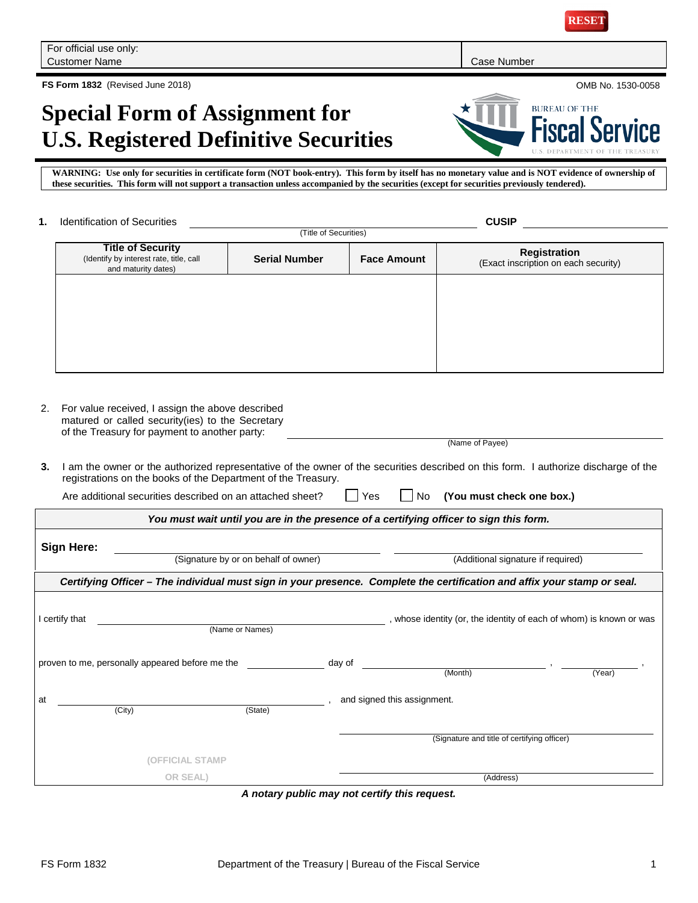

**RESET**

**FS Form 1832** (Revised June 2018) OMB No. 1530-0058

# **Special Form of Assignment for U.S. Registered Definitive Securities**

**WARNING: Use only for securities in certificate form (NOT book-entry). This form by itself has no monetary value and is NOT evidence of ownership of these securities. This form will not support a transaction unless accompanied by the securities (except for securities previously tendered).**

| 1.                                                                                                                                                                                                         | <b>Identification of Securities</b>                                                                                                                   |                                                                                        | <b>CUSIP</b> |                             |                                                                     |                                                             |  |  |
|------------------------------------------------------------------------------------------------------------------------------------------------------------------------------------------------------------|-------------------------------------------------------------------------------------------------------------------------------------------------------|----------------------------------------------------------------------------------------|--------------|-----------------------------|---------------------------------------------------------------------|-------------------------------------------------------------|--|--|
|                                                                                                                                                                                                            | (Title of Securities)                                                                                                                                 |                                                                                        |              |                             |                                                                     |                                                             |  |  |
|                                                                                                                                                                                                            | <b>Title of Security</b><br>(Identify by interest rate, title, call<br>and maturity dates)                                                            | <b>Serial Number</b>                                                                   |              | <b>Face Amount</b>          |                                                                     | <b>Registration</b><br>(Exact inscription on each security) |  |  |
|                                                                                                                                                                                                            |                                                                                                                                                       |                                                                                        |              |                             |                                                                     |                                                             |  |  |
|                                                                                                                                                                                                            |                                                                                                                                                       |                                                                                        |              |                             |                                                                     |                                                             |  |  |
|                                                                                                                                                                                                            |                                                                                                                                                       |                                                                                        |              |                             |                                                                     |                                                             |  |  |
|                                                                                                                                                                                                            |                                                                                                                                                       |                                                                                        |              |                             |                                                                     |                                                             |  |  |
|                                                                                                                                                                                                            |                                                                                                                                                       |                                                                                        |              |                             |                                                                     |                                                             |  |  |
| 2.                                                                                                                                                                                                         | For value received, I assign the above described<br>matured or called security(ies) to the Secretary<br>of the Treasury for payment to another party: |                                                                                        |              |                             |                                                                     |                                                             |  |  |
|                                                                                                                                                                                                            | (Name of Payee)                                                                                                                                       |                                                                                        |              |                             |                                                                     |                                                             |  |  |
| I am the owner or the authorized representative of the owner of the securities described on this form. I authorize discharge of the<br>3.<br>registrations on the books of the Department of the Treasury. |                                                                                                                                                       |                                                                                        |              |                             |                                                                     |                                                             |  |  |
|                                                                                                                                                                                                            | Are additional securities described on an attached sheet?<br>Yes<br>(You must check one box.)<br>No                                                   |                                                                                        |              |                             |                                                                     |                                                             |  |  |
|                                                                                                                                                                                                            |                                                                                                                                                       | You must wait until you are in the presence of a certifying officer to sign this form. |              |                             |                                                                     |                                                             |  |  |
|                                                                                                                                                                                                            | Sign Here:                                                                                                                                            |                                                                                        |              |                             |                                                                     |                                                             |  |  |
|                                                                                                                                                                                                            |                                                                                                                                                       | (Signature by or on behalf of owner)                                                   |              |                             | (Additional signature if required)                                  |                                                             |  |  |
|                                                                                                                                                                                                            | Certifying Officer – The individual must sign in your presence. Complete the certification and affix your stamp or seal.                              |                                                                                        |              |                             |                                                                     |                                                             |  |  |
|                                                                                                                                                                                                            |                                                                                                                                                       |                                                                                        |              |                             |                                                                     |                                                             |  |  |
|                                                                                                                                                                                                            | I certify that                                                                                                                                        | (Name or Names)                                                                        |              |                             | , whose identity (or, the identity of each of whom) is known or was |                                                             |  |  |
|                                                                                                                                                                                                            | proven to me, personally appeared before me the                                                                                                       |                                                                                        | day of       |                             |                                                                     |                                                             |  |  |
|                                                                                                                                                                                                            |                                                                                                                                                       |                                                                                        |              |                             | (Month)                                                             | (Year)                                                      |  |  |
| at                                                                                                                                                                                                         |                                                                                                                                                       |                                                                                        |              | and signed this assignment. |                                                                     |                                                             |  |  |
|                                                                                                                                                                                                            | (City)                                                                                                                                                | (State)                                                                                |              |                             |                                                                     |                                                             |  |  |
|                                                                                                                                                                                                            |                                                                                                                                                       |                                                                                        |              |                             | (Signature and title of certifying officer)                         |                                                             |  |  |
|                                                                                                                                                                                                            |                                                                                                                                                       | (OFFICIAL STAMP                                                                        |              |                             |                                                                     |                                                             |  |  |
|                                                                                                                                                                                                            | OR SEAL)                                                                                                                                              |                                                                                        |              | (Address)                   |                                                                     |                                                             |  |  |

*A notary public may not certify this request.*

**BUREAU OF THE Service**